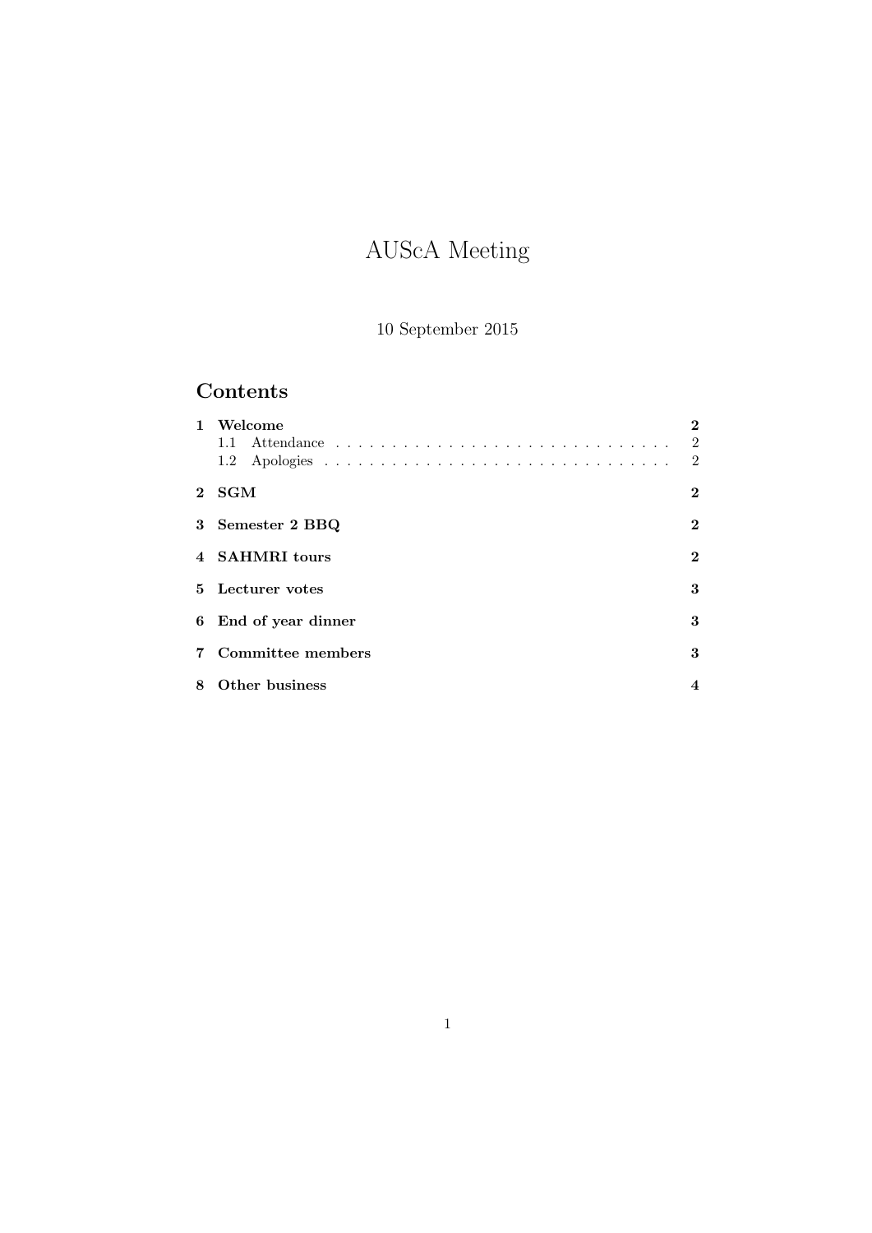# AUScA Meeting

10 September 2015

# Contents

| $\mathbf{1}$ | Welcome              |                |
|--------------|----------------------|----------------|
|              |                      | $\overline{2}$ |
|              |                      | $\overline{2}$ |
|              | 2 SGM                | 2              |
|              | 3 Semester 2 BBQ     | 2              |
|              | 4 SAHMRI tours       | 2              |
|              | 5 Lecturer votes     | 3              |
|              | 6 End of year dinner | 3              |
|              | Committee members    | 3              |
| 8            | Other business       |                |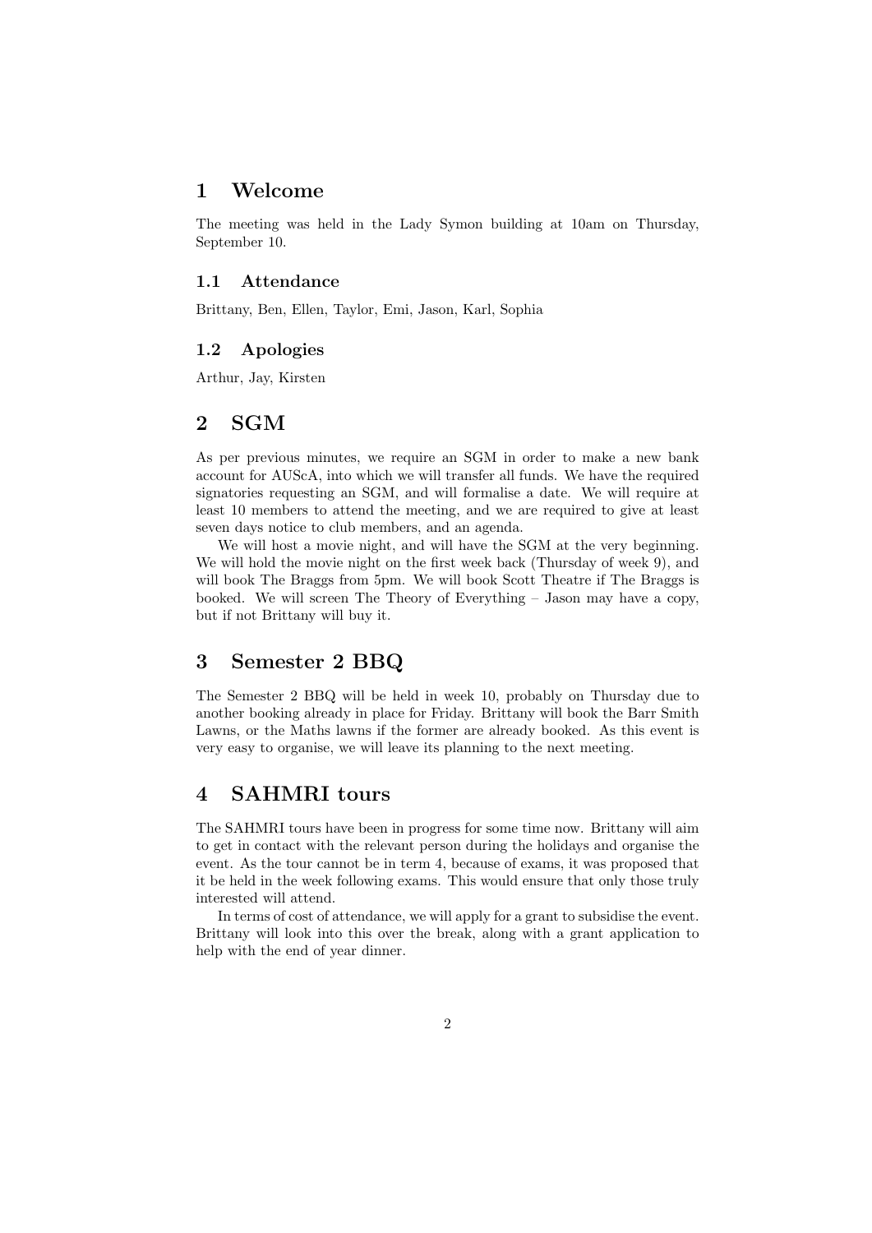#### 1 Welcome

The meeting was held in the Lady Symon building at 10am on Thursday, September 10.

#### 1.1 Attendance

Brittany, Ben, Ellen, Taylor, Emi, Jason, Karl, Sophia

#### 1.2 Apologies

Arthur, Jay, Kirsten

#### 2 SGM

As per previous minutes, we require an SGM in order to make a new bank account for AUScA, into which we will transfer all funds. We have the required signatories requesting an SGM, and will formalise a date. We will require at least 10 members to attend the meeting, and we are required to give at least seven days notice to club members, and an agenda.

We will host a movie night, and will have the SGM at the very beginning. We will hold the movie night on the first week back (Thursday of week 9), and will book The Braggs from 5pm. We will book Scott Theatre if The Braggs is booked. We will screen The Theory of Everything – Jason may have a copy, but if not Brittany will buy it.

#### 3 Semester 2 BBQ

The Semester 2 BBQ will be held in week 10, probably on Thursday due to another booking already in place for Friday. Brittany will book the Barr Smith Lawns, or the Maths lawns if the former are already booked. As this event is very easy to organise, we will leave its planning to the next meeting.

### 4 SAHMRI tours

The SAHMRI tours have been in progress for some time now. Brittany will aim to get in contact with the relevant person during the holidays and organise the event. As the tour cannot be in term 4, because of exams, it was proposed that it be held in the week following exams. This would ensure that only those truly interested will attend.

In terms of cost of attendance, we will apply for a grant to subsidise the event. Brittany will look into this over the break, along with a grant application to help with the end of year dinner.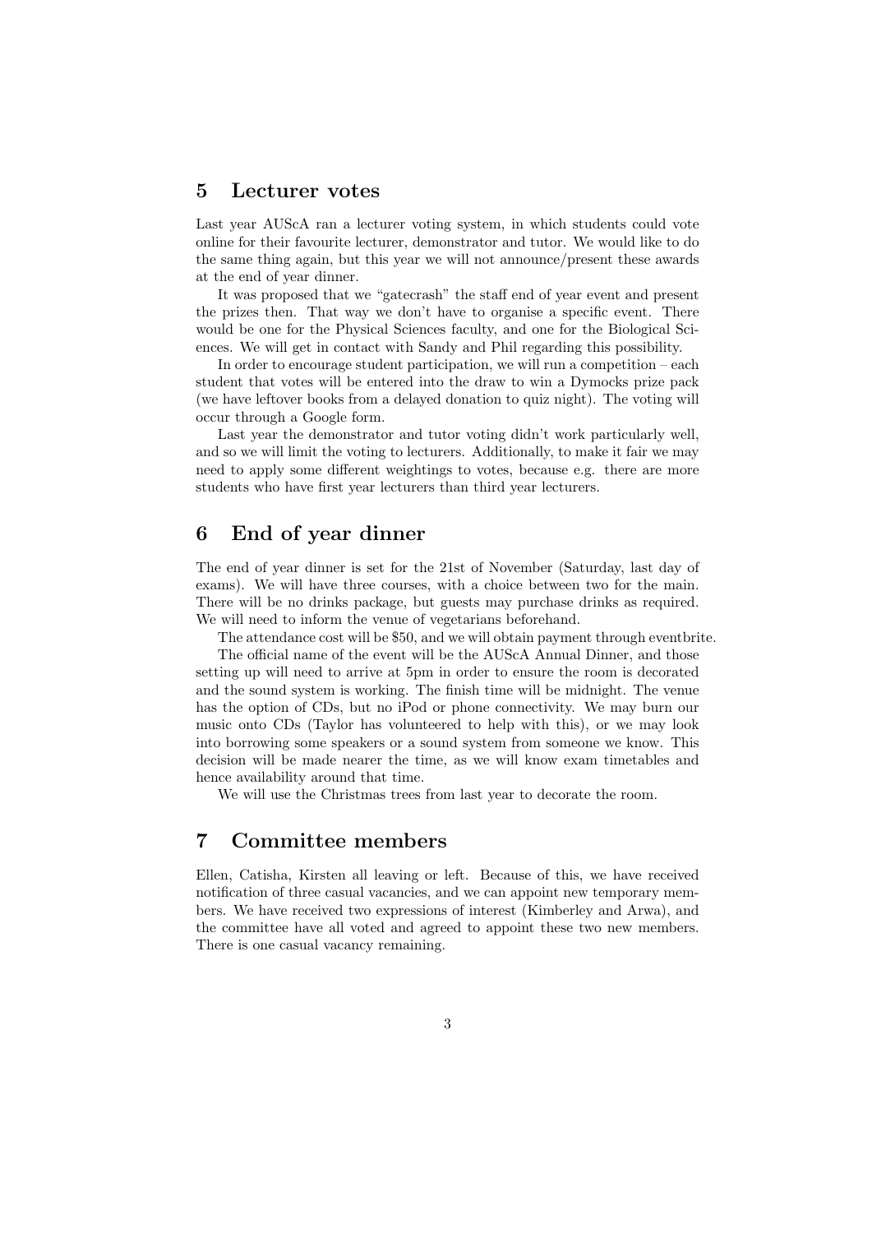#### 5 Lecturer votes

Last year AUScA ran a lecturer voting system, in which students could vote online for their favourite lecturer, demonstrator and tutor. We would like to do the same thing again, but this year we will not announce/present these awards at the end of year dinner.

It was proposed that we "gatecrash" the staff end of year event and present the prizes then. That way we don't have to organise a specific event. There would be one for the Physical Sciences faculty, and one for the Biological Sciences. We will get in contact with Sandy and Phil regarding this possibility.

In order to encourage student participation, we will run a competition – each student that votes will be entered into the draw to win a Dymocks prize pack (we have leftover books from a delayed donation to quiz night). The voting will occur through a Google form.

Last year the demonstrator and tutor voting didn't work particularly well, and so we will limit the voting to lecturers. Additionally, to make it fair we may need to apply some different weightings to votes, because e.g. there are more students who have first year lecturers than third year lecturers.

#### 6 End of year dinner

The end of year dinner is set for the 21st of November (Saturday, last day of exams). We will have three courses, with a choice between two for the main. There will be no drinks package, but guests may purchase drinks as required. We will need to inform the venue of vegetarians beforehand.

The attendance cost will be \$50, and we will obtain payment through eventbrite.

The official name of the event will be the AUScA Annual Dinner, and those setting up will need to arrive at 5pm in order to ensure the room is decorated and the sound system is working. The finish time will be midnight. The venue has the option of CDs, but no iPod or phone connectivity. We may burn our music onto CDs (Taylor has volunteered to help with this), or we may look into borrowing some speakers or a sound system from someone we know. This decision will be made nearer the time, as we will know exam timetables and hence availability around that time.

We will use the Christmas trees from last year to decorate the room.

#### 7 Committee members

Ellen, Catisha, Kirsten all leaving or left. Because of this, we have received notification of three casual vacancies, and we can appoint new temporary members. We have received two expressions of interest (Kimberley and Arwa), and the committee have all voted and agreed to appoint these two new members. There is one casual vacancy remaining.